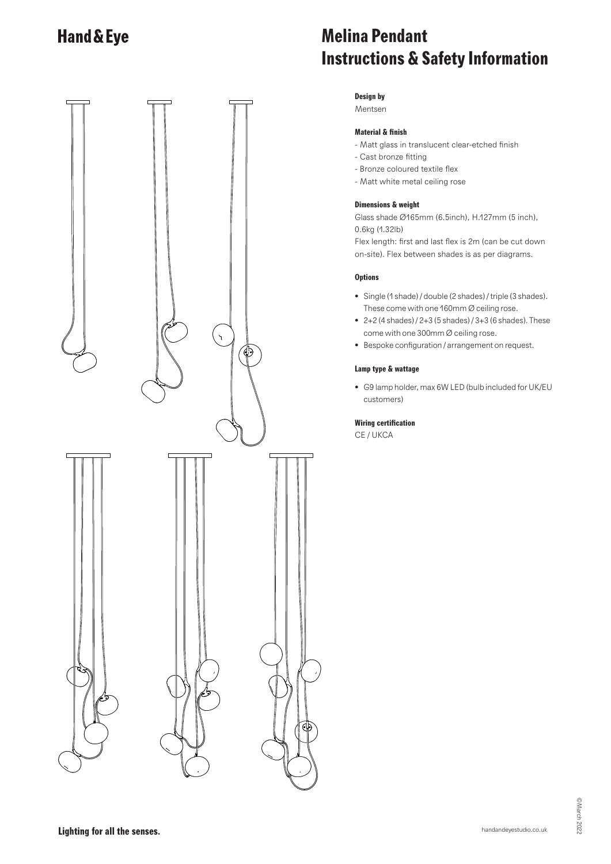

# **Melina Pendant Instructions & Safety Information**

## **Design by**

Mentsen

## **Material & finish**

- Matt glass in translucent clear-etched finish
- Cast bronze fitting
- Bronze coloured textile flex
- Matt white metal ceiling rose

### **Dimensions & weight**

Glass shade Ø165mm (6.5inch), H.127mm (5 inch), 0.6kg (1.32lb)

Flex length: first and last flex is 2m (can be cut down on-site). Flex between shades is as per diagrams.

### **Options**

- Single (1 shade) / double (2 shades) / triple (3 shades). These come with one 160mm Ø ceiling rose.
- 2+2 (4 shades) / 2+3 (5 shades) / 3+3 (6 shades). These come with one 300mm Ø ceiling rose.
- Bespoke configuration / arrangement on request.

### **Lamp type & wattage**

• G9 lamp holder, max 6W LED (bulb included for UK/EU customers)

#### **Wiring certification**

CE / UKCA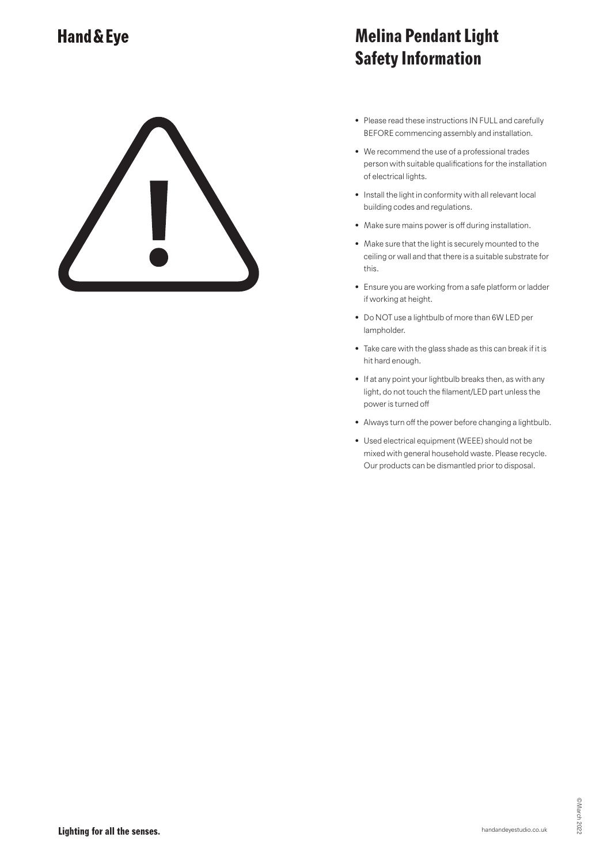# **Melina Pendant Light Safety Information**

- Please read these instructions IN FULL and carefully BEFORE commencing assembly and installation.
- We recommend the use of a professional trades person with suitable qualifications for the installation of electrical lights.
- Install the light in conformity with all relevant local building codes and regulations.
- Make sure mains power is off during installation.
- Make sure that the light is securely mounted to the ceiling or wall and that there is a suitable substrate for this.
- Ensure you are working from a safe platform or ladder if working at height.
- Do NOT use a lightbulb of more than 6W LED per lampholder.
- Take care with the glass shade as this can break if it is hit hard enough.
- If at any point your lightbulb breaks then, as with any light, do not touch the filament/LED part unless the power is turned off
- Always turn off the power before changing a lightbulb.
- Used electrical equipment (WEEE) should not be mixed with general household waste. Please recycle. Our products can be dismantled prior to disposal.

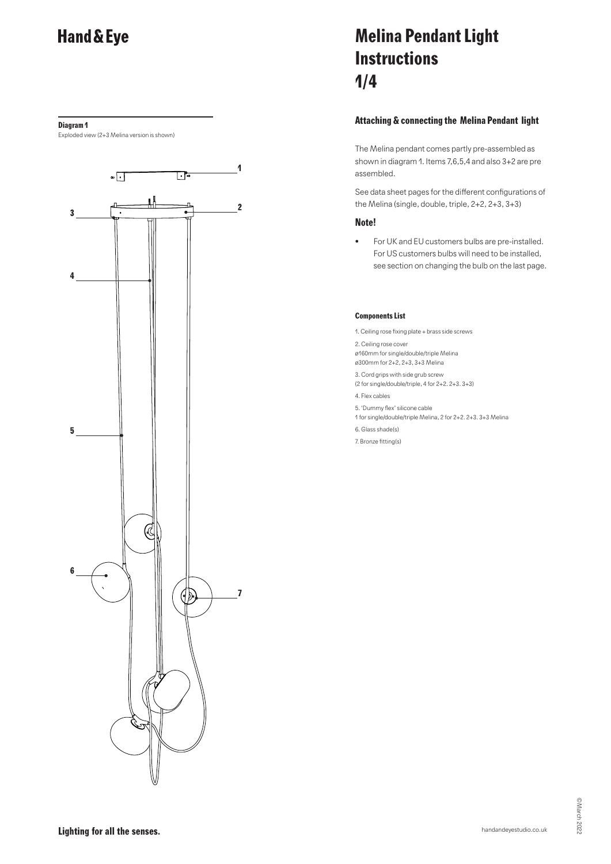#### **Diagram 1**

Exploded view (2+3 Melina version is shown)



# **Melina Pendant Light Instructions 1/4**

## **Attaching & connecting the Melina Pendant light**

The Melina pendant comes partly pre-assembled as shown in diagram 1. Items 7,6,5,4 and also 3+2 are pre assembled.

See data sheet pages for the different configurations of the Melina (single, double, triple, 2+2, 2+3, 3+3)

### **Note!**

• For UK and EU customers bulbs are pre-installed. For US customers bulbs will need to be installed, see section on changing the bulb on the last page.

#### **Components List**

1. Ceiling rose fixing plate + brass side screws

2. Ceiling rose cover

ø160mm for single/double/triple Melina

- ø300mm for 2+2, 2+3, 3+3 Melina
- 3. Cord grips with side grub screw (2 for single/double/triple, 4 for 2+2. 2+3. 3+3)
- 4. Flex cables
- 5. 'Dummy flex' silicone cable
- 1 for single/double/triple Melina, 2 for 2+2. 2+3. 3+3 Melina
- 6. Glass shade(s)
- 7. Bronze fitting(s)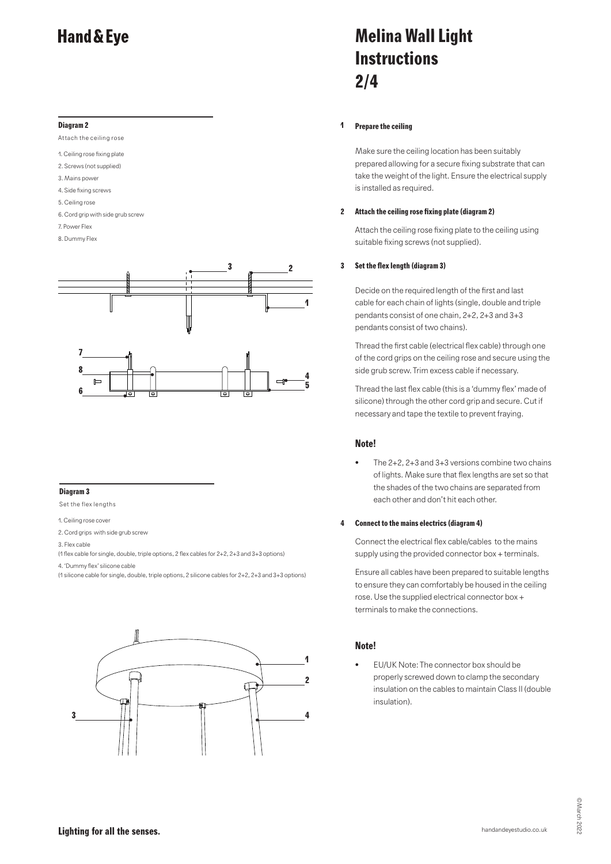#### **Diagram 2**

Attach the ceiling rose

- 1. Ceiling rose fixing plate
- 2. Screws (not supplied)
- 3. Mains power
- 4. Side fixing screws 5. Ceiling rose
- 
- 6. Cord grip with side grub screw
- 7. Power Flex
- 8. Dummy Flex



#### **Diagram 3**

Set the flex lengths

- 1. Ceiling rose cover
- 2. Cord grips with side grub screw
- 3. Flex cable
- (1 flex cable for single, double, triple options, 2 flex cables for 2+2, 2+3 and 3+3 options)
- 4. 'Dummy flex' silicone cable
- + (1 silicone cable for single, double, triple options, 2 silicone cables for 2+2, 2+3 and 3+3 options)



# **Melina Wall Light Instructions 2/4**

#### **1 Prepare the ceiling**

Make sure the ceiling location has been suitably prepared allowing for a secure fixing substrate that can take the weight of the light. Ensure the electrical supply is installed as required.

#### **2 Attach the ceiling rose fixing plate (diagram 2)**

Attach the ceiling rose fixing plate to the ceiling using suitable fixing screws (not supplied).

### **3 Set the flex length (diagram 3)**

Decide on the required length of the first and last cable for each chain of lights (single, double and triple pendants consist of one chain, 2+2, 2+3 and 3+3 pendants consist of two chains).

Thread the first cable (electrical flex cable) through one of the cord grips on the ceiling rose and secure using the side grub screw. Trim excess cable if necessary.

Thread the last flex cable (this is a 'dummy flex' made of silicone) through the other cord grip and secure. Cut if necessary and tape the textile to prevent fraying.

### **Note!**

The 2+2, 2+3 and 3+3 versions combine two chains of lights. Make sure that flex lengths are set so that the shades of the two chains are separated from each other and don't hit each other.

#### **4 Connect to the mains electrics (diagram 4)**

Connect the electrical flex cable/cables to the mains supply using the provided connector box + terminals.

Ensure all cables have been prepared to suitable lengths to ensure they can comfortably be housed in the ceiling rose. Use the supplied electrical connector box + terminals to make the connections.

### **Note!**

• EU/UK Note: The connector box should be properly screwed down to clamp the secondary insulation on the cables to maintain Class II (double insulation).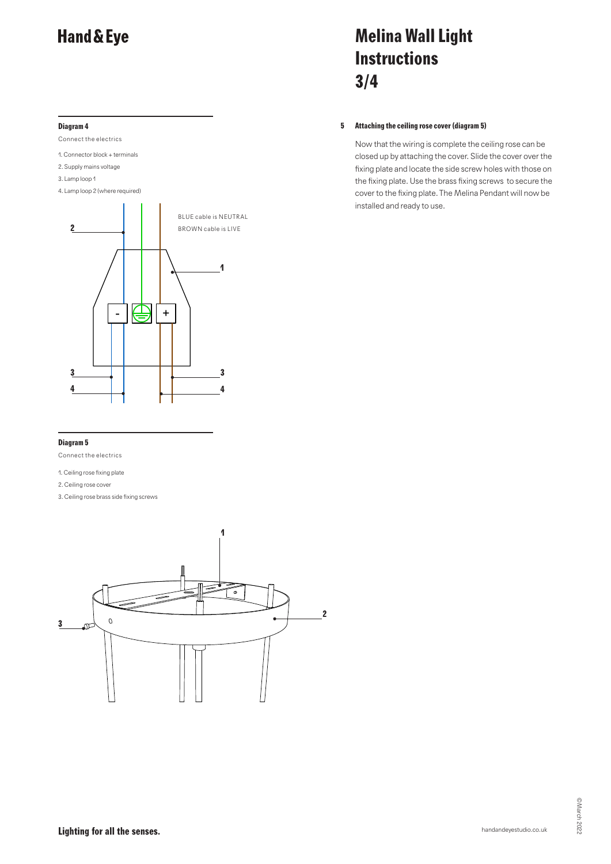### **Diagram 4**

Connect the electrics

1. Connector block + terminals

2. Supply mains voltage

3. Lamp loop 1

4. Lamp loop 2 (where required)



# **Melina Wall Light Instructions 3/4**

#### **5 Attaching the ceiling rose cover (diagram 5)**

Now that the wiring is complete the ceiling rose can be closed up by attaching the cover. Slide the cover over the fixing plate and locate the side screw holes with those on the fixing plate. Use the brass fixing screws to secure the cover to the fixing plate. The Melina Pendant will now be installed and ready to use.

#### **Diagram 5**

Connect the electrics

1. Ceiling rose fixing plate

2. Ceiling rose cover

3. Ceiling rose brass side fixing screws